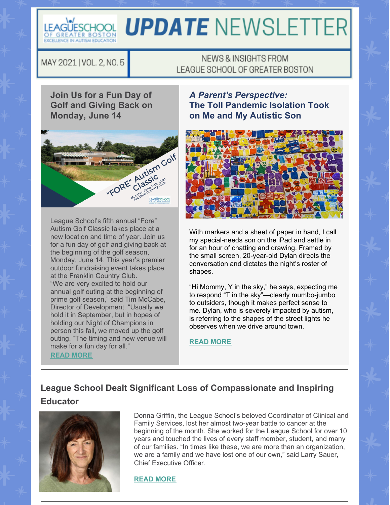

# LEAGÜESCHOOL **UPDATE** NEWSLETTER

MAY 2021 | VOL. 2, NO. 5

### NEWS & INSIGHTS FROM LEAGUE SCHOOL OF GREATER BOSTON

**Join Us for a Fun Day of Golf and Giving Back on Monday, June 14**



League School's fifth annual "Fore" Autism Golf Classic takes place at a new location and time of year. Join us for a fun day of golf and giving back at the beginning of the golf season, Monday, June 14. This year's premier outdoor fundraising event takes place at the Franklin Country Club. "We are very excited to hold our annual golf outing at the beginning of prime golf season," said Tim McCabe, Director of Development. "Usually we hold it in September, but in hopes of holding our Night of Champions in person this fall, we moved up the golf outing. "The timing and new venue will make for a fun day for all." **READ [MORE](https://leagueschool.org/7390-2)**

*A Parent's Perspective:* **The Toll Pandemic Isolation Took on Me and My Autistic Son**



With markers and a sheet of paper in hand, I call my special-needs son on the iPad and settle in for an hour of chatting and drawing. Framed by the small screen, 20-year-old Dylan directs the conversation and dictates the night's roster of shapes.

"Hi Mommy, Y in the sky," he says, expecting me to respond "T in the sky"—clearly mumbo-jumbo to outsiders, though it makes perfect sense to me. Dylan, who is severely impacted by autism, is referring to the shapes of the street lights he observes when we drive around town.

#### **READ [MORE](https://leagueschool.org/the-toll-pandemic-isolation-took-on-me-and-my-autistic-son/)**

## **League School Dealt Significant Loss of Compassionate and Inspiring Educator**



Donna Griffin, the League School's beloved Coordinator of Clinical and Family Services, lost her almost two-year battle to cancer at the beginning of the month. She worked for the League School for over 10 years and touched the lives of every staff member, student, and many of our families. "In times like these, we are more than an organization, we are a family and we have lost one of our own," said Larry Sauer, Chief Executive Officer.

#### **READ [MORE](https://leagueschool.org/league-school-dealt-significant-loss-of-compassionate-and-inspiring-educator/)**